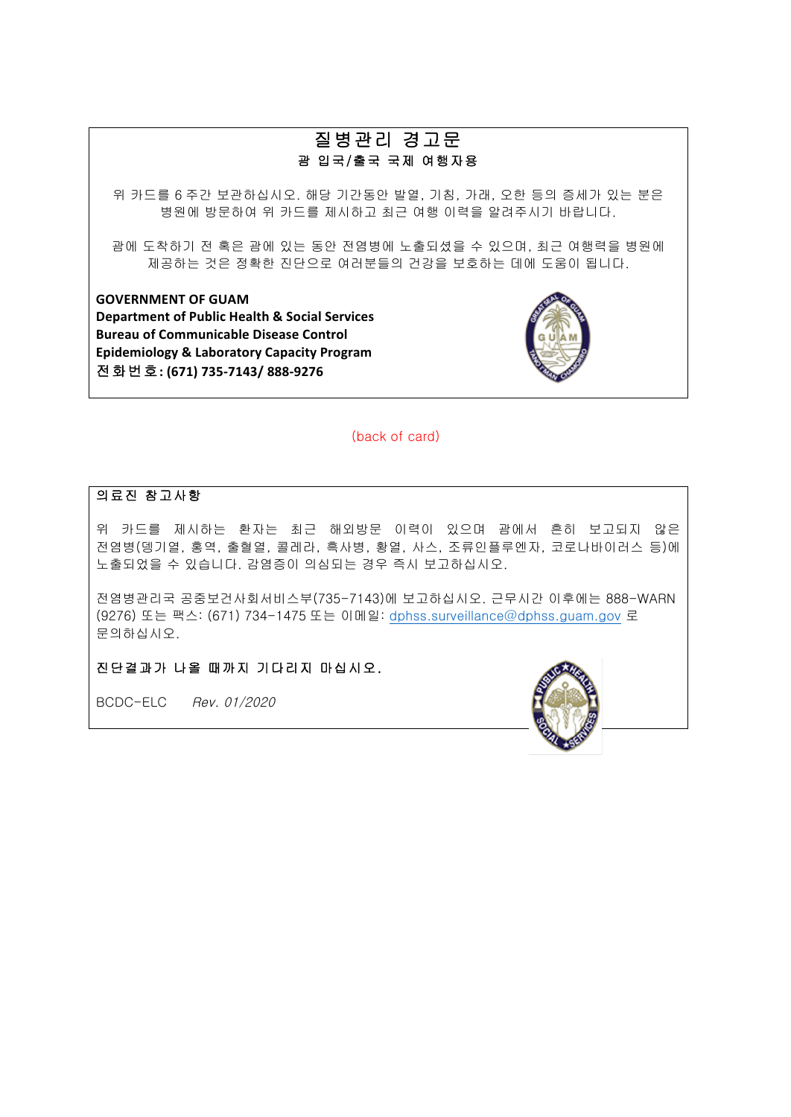# 질병관리 경고문 괌 입국/출국 국제 여행자용

위 카드를 6 주간 보관하십시오. 해당 기간동안 발열, 기침, 가래, 오한 등의 증세가 있는 분은 병원에 방문하여 위 카드를 제시하고 최근 여행 이력을 알려주시기 바랍니다.

괌에 도착하기 전 혹은 괌에 있는 동안 전염병에 노출되셨을 수 있으며, 최근 여행력을 병원에 제공하는 것은 정확한 진단으로 여러분들의 건강을 보호하는 데에 도움이 됩니다.

**GOVERNMENT OF GUAM Department of Public Health & Social Services Bureau of Communicable Disease Control Epidemiology & Laboratory Capacity Program** 전화번호**: (671) 735-7143/ 888-9276**



(back of card)

### 의료진 참고사항

위 카드를 제시하는 환자는 최근 해외방문 이력이 있으며 괌에서 흔히 보고되지 않은 전염병(뎅기열, 홍역, 출혈열, 콜레라, 흑사병, 황열, 사스, 조류인플루엔자, 코로나바이러스 등)에 노출되었을 수 있습니다. 감염증이 의심되는 경우 즉시 보고하십시오.

전염병관리국 공중보건사회서비스부(735-7143)에 보고하십시오. 근무시간 이후에는 888-WARN (9276) 또는 팩스: (671) 734-1475 또는 이메일: dphss.surveillance@dphss.guam.gov 로 문의하십시오.

진단결과가 나올 때까지 기다리지 마십시오.

BCDC-ELC Rev. 01/2020